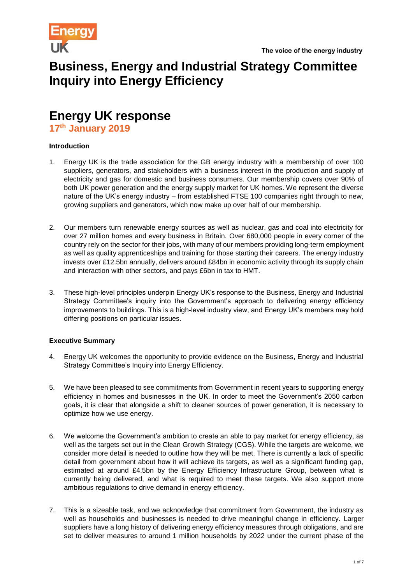

# **Business, Energy and Industrial Strategy Committee Inquiry into Energy Efficiency**

# **Energy UK response**

**17th January 2019**

### **Introduction**

- 1. Energy UK is the trade association for the GB energy industry with a membership of over 100 suppliers, generators, and stakeholders with a business interest in the production and supply of electricity and gas for domestic and business consumers. Our membership covers over 90% of both UK power generation and the energy supply market for UK homes. We represent the diverse nature of the UK's energy industry – from established FTSE 100 companies right through to new, growing suppliers and generators, which now make up over half of our membership.
- 2. Our members turn renewable energy sources as well as nuclear, gas and coal into electricity for over 27 million homes and every business in Britain. Over 680,000 people in every corner of the country rely on the sector for their jobs, with many of our members providing long-term employment as well as quality apprenticeships and training for those starting their careers. The energy industry invests over £12.5bn annually, delivers around £84bn in economic activity through its supply chain and interaction with other sectors, and pays £6bn in tax to HMT.
- 3. These high-level principles underpin Energy UK's response to the Business, Energy and Industrial Strategy Committee's inquiry into the Government's approach to delivering energy efficiency improvements to buildings. This is a high-level industry view, and Energy UK's members may hold differing positions on particular issues.

## **Executive Summary**

- 4. Energy UK welcomes the opportunity to provide evidence on the Business, Energy and Industrial Strategy Committee's Inquiry into Energy Efficiency.
- 5. We have been pleased to see commitments from Government in recent years to supporting energy efficiency in homes and businesses in the UK. In order to meet the Government's 2050 carbon goals, it is clear that alongside a shift to cleaner sources of power generation, it is necessary to optimize how we use energy.
- 6. We welcome the Government's ambition to create an able to pay market for energy efficiency, as well as the targets set out in the Clean Growth Strategy (CGS). While the targets are welcome, we consider more detail is needed to outline how they will be met. There is currently a lack of specific detail from government about how it will achieve its targets, as well as a significant funding gap, estimated at around £4.5bn by the Energy Efficiency Infrastructure Group, between what is currently being delivered, and what is required to meet these targets. We also support more ambitious regulations to drive demand in energy efficiency.
- 7. This is a sizeable task, and we acknowledge that commitment from Government, the industry as well as households and businesses is needed to drive meaningful change in efficiency. Larger suppliers have a long history of delivering energy efficiency measures through obligations, and are set to deliver measures to around 1 million households by 2022 under the current phase of the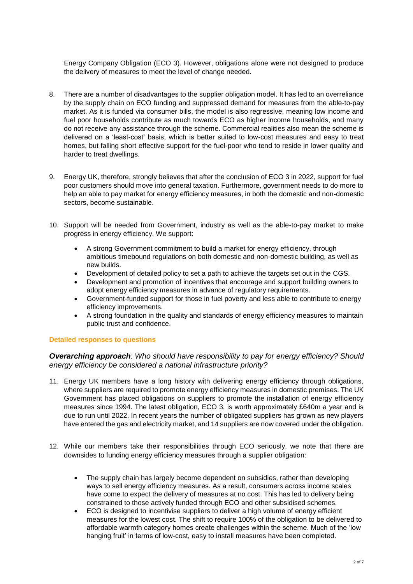Energy Company Obligation (ECO 3). However, obligations alone were not designed to produce the delivery of measures to meet the level of change needed.

- 8. There are a number of disadvantages to the supplier obligation model. It has led to an overreliance by the supply chain on ECO funding and suppressed demand for measures from the able-to-pay market. As it is funded via consumer bills, the model is also regressive, meaning low income and fuel poor households contribute as much towards ECO as higher income households, and many do not receive any assistance through the scheme. Commercial realities also mean the scheme is delivered on a 'least-cost' basis, which is better suited to low-cost measures and easy to treat homes, but falling short effective support for the fuel-poor who tend to reside in lower quality and harder to treat dwellings.
- 9. Energy UK, therefore, strongly believes that after the conclusion of ECO 3 in 2022, support for fuel poor customers should move into general taxation. Furthermore, government needs to do more to help an able to pay market for energy efficiency measures, in both the domestic and non-domestic sectors, become sustainable.
- 10. Support will be needed from Government, industry as well as the able-to-pay market to make progress in energy efficiency. We support:
	- A strong Government commitment to build a market for energy efficiency, through ambitious timebound regulations on both domestic and non-domestic building, as well as new builds.
	- Development of detailed policy to set a path to achieve the targets set out in the CGS.
	- Development and promotion of incentives that encourage and support building owners to adopt energy efficiency measures in advance of regulatory requirements.
	- Government-funded support for those in fuel poverty and less able to contribute to energy efficiency improvements.
	- A strong foundation in the quality and standards of energy efficiency measures to maintain public trust and confidence.

#### **Detailed responses to questions**

### *Overarching approach: Who should have responsibility to pay for energy efficiency? Should energy efficiency be considered a national infrastructure priority?*

- 11. Energy UK members have a long history with delivering energy efficiency through obligations, where suppliers are required to promote energy efficiency measures in domestic premises. The UK Government has placed obligations on suppliers to promote the installation of energy efficiency measures since 1994. The latest obligation, ECO 3, is worth approximately £640m a year and is due to run until 2022. In recent years the number of obligated suppliers has grown as new players have entered the gas and electricity market, and 14 suppliers are now covered under the obligation.
- 12. While our members take their responsibilities through ECO seriously, we note that there are downsides to funding energy efficiency measures through a supplier obligation:
	- The supply chain has largely become dependent on subsidies, rather than developing ways to sell energy efficiency measures. As a result, consumers across income scales have come to expect the delivery of measures at no cost. This has led to delivery being constrained to those actively funded through ECO and other subsidised schemes.
	- ECO is designed to incentivise suppliers to deliver a high volume of energy efficient measures for the lowest cost. The shift to require 100% of the obligation to be delivered to affordable warmth category homes create challenges within the scheme. Much of the 'low hanging fruit' in terms of low-cost, easy to install measures have been completed.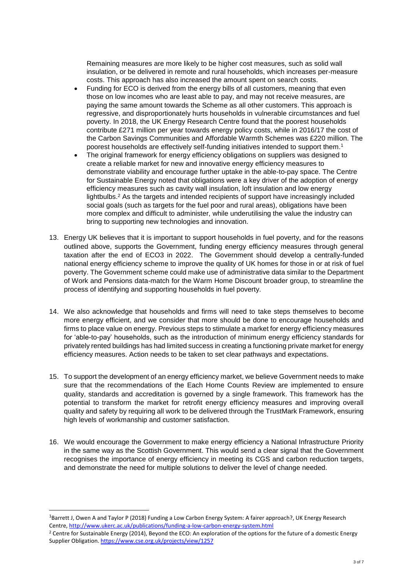Remaining measures are more likely to be higher cost measures, such as solid wall insulation, or be delivered in remote and rural households, which increases per-measure costs. This approach has also increased the amount spent on search costs.

- Funding for ECO is derived from the energy bills of all customers, meaning that even those on low incomes who are least able to pay, and may not receive measures, are paying the same amount towards the Scheme as all other customers. This approach is regressive, and disproportionately hurts households in vulnerable circumstances and fuel poverty. In 2018, the UK Energy Research Centre found that the poorest households contribute £271 million per year towards energy policy costs, while in 2016/17 the cost of the Carbon Savings Communities and Affordable Warmth Schemes was £220 million. The poorest households are effectively self-funding initiatives intended to support them.<sup>1</sup>
- The original framework for energy efficiency obligations on suppliers was designed to create a reliable market for new and innovative energy efficiency measures to demonstrate viability and encourage further uptake in the able-to-pay space. The Centre for Sustainable Energy noted that obligations were a key driver of the adoption of energy efficiency measures such as cavity wall insulation, loft insulation and low energy lightbulbs. <sup>2</sup> As the targets and intended recipients of support have increasingly included social goals (such as targets for the fuel poor and rural areas), obligations have been more complex and difficult to administer, while underutilising the value the industry can bring to supporting new technologies and innovation.
- 13. Energy UK believes that it is important to support households in fuel poverty, and for the reasons outlined above, supports the Government, funding energy efficiency measures through general taxation after the end of ECO3 in 2022. The Government should develop a centrally-funded national energy efficiency scheme to improve the quality of UK homes for those in or at risk of fuel poverty. The Government scheme could make use of administrative data similar to the Department of Work and Pensions data-match for the Warm Home Discount broader group, to streamline the process of identifying and supporting households in fuel poverty.
- 14. We also acknowledge that households and firms will need to take steps themselves to become more energy efficient, and we consider that more should be done to encourage households and firms to place value on energy. Previous steps to stimulate a market for energy efficiency measures for 'able-to-pay' households, such as the introduction of minimum energy efficiency standards for privately rented buildings has had limited success in creating a functioning private market for energy efficiency measures. Action needs to be taken to set clear pathways and expectations.
- 15. To support the development of an energy efficiency market, we believe Government needs to make sure that the recommendations of the Each Home Counts Review are implemented to ensure quality, standards and accreditation is governed by a single framework. This framework has the potential to transform the market for retrofit energy efficiency measures and improving overall quality and safety by requiring all work to be delivered through the TrustMark Framework, ensuring high levels of workmanship and customer satisfaction.
- 16. We would encourage the Government to make energy efficiency a National Infrastructure Priority in the same way as the Scottish Government. This would send a clear signal that the Government recognises the importance of energy efficiency in meeting its CGS and carbon reduction targets, and demonstrate the need for multiple solutions to deliver the level of change needed.

<sup>&</sup>lt;sup>1</sup>Barrett J, Owen A and Taylor P (2018) Funding a Low Carbon Energy System: A fairer approach?, UK Energy Research Centre,<http://www.ukerc.ac.uk/publications/funding-a-low-carbon-energy-system.html>

<sup>&</sup>lt;sup>2</sup> Centre for Sustainable Energy (2014), Beyond the ECO: An exploration of the options for the future of a domestic Energy Supplier Obligation[. https://www.cse.org.uk/projects/view/1257](https://www.cse.org.uk/projects/view/1257)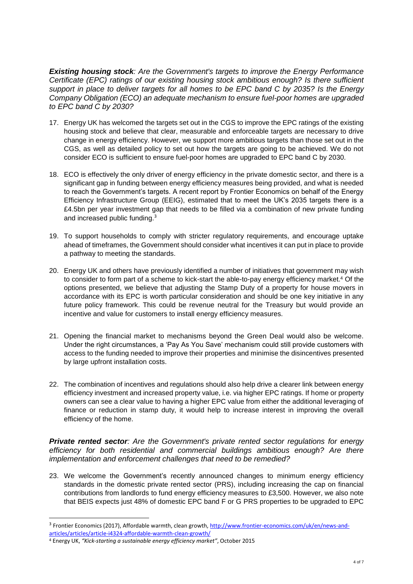*Existing housing stock: Are the Government's targets to improve the Energy Performance Certificate (EPC) ratings of our existing housing stock ambitious enough? Is there sufficient support in place to deliver targets for all homes to be EPC band C by 2035? Is the Energy Company Obligation (ECO) an adequate mechanism to ensure fuel-poor homes are upgraded to EPC band C by 2030?*

- 17. Energy UK has welcomed the targets set out in the CGS to improve the EPC ratings of the existing housing stock and believe that clear, measurable and enforceable targets are necessary to drive change in energy efficiency. However, we support more ambitious targets than those set out in the CGS, as well as detailed policy to set out how the targets are going to be achieved. We do not consider ECO is sufficient to ensure fuel-poor homes are upgraded to EPC band C by 2030.
- 18. ECO is effectively the only driver of energy efficiency in the private domestic sector, and there is a significant gap in funding between energy efficiency measures being provided, and what is needed to reach the Government's targets. A recent report by Frontier Economics on behalf of the Energy Efficiency Infrastructure Group (EEIG), estimated that to meet the UK's 2035 targets there is a £4.5bn per year investment gap that needs to be filled via a combination of new private funding and increased public funding.<sup>3</sup>
- 19. To support households to comply with stricter regulatory requirements, and encourage uptake ahead of timeframes, the Government should consider what incentives it can put in place to provide a pathway to meeting the standards.
- 20. Energy UK and others have previously identified a number of initiatives that government may wish to consider to form part of a scheme to kick-start the able-to-pay energy efficiency market. <sup>4</sup> Of the options presented, we believe that adjusting the Stamp Duty of a property for house movers in accordance with its EPC is worth particular consideration and should be one key initiative in any future policy framework. This could be revenue neutral for the Treasury but would provide an incentive and value for customers to install energy efficiency measures.
- 21. Opening the financial market to mechanisms beyond the Green Deal would also be welcome. Under the right circumstances, a 'Pay As You Save' mechanism could still provide customers with access to the funding needed to improve their properties and minimise the disincentives presented by large upfront installation costs.
- 22. The combination of incentives and regulations should also help drive a clearer link between energy efficiency investment and increased property value, i.e. via higher EPC ratings. If home or property owners can see a clear value to having a higher EPC value from either the additional leveraging of finance or reduction in stamp duty, it would help to increase interest in improving the overall efficiency of the home.

*Private rented sector: Are the Government's private rented sector regulations for energy efficiency for both residential and commercial buildings ambitious enough? Are there implementation and enforcement challenges that need to be remedied?*

23. We welcome the Government's recently announced changes to minimum energy efficiency standards in the domestic private rented sector (PRS), including increasing the cap on financial contributions from landlords to fund energy efficiency measures to £3,500. However, we also note that BEIS expects just 48% of domestic EPC band F or G PRS properties to be upgraded to EPC

<sup>&</sup>lt;sup>3</sup> Frontier Economics (2017), Affordable warmth, clean growth, [http://www.frontier-economics.com/uk/en/news-and](http://www.frontier-economics.com/uk/en/news-and-articles/articles/article-i4324-affordable-warmth-clean-growth/)[articles/articles/article-i4324-affordable-warmth-clean-growth/](http://www.frontier-economics.com/uk/en/news-and-articles/articles/article-i4324-affordable-warmth-clean-growth/)

<sup>4</sup> Energy UK, *"Kick-starting a sustainable energy efficiency market"*, October 2015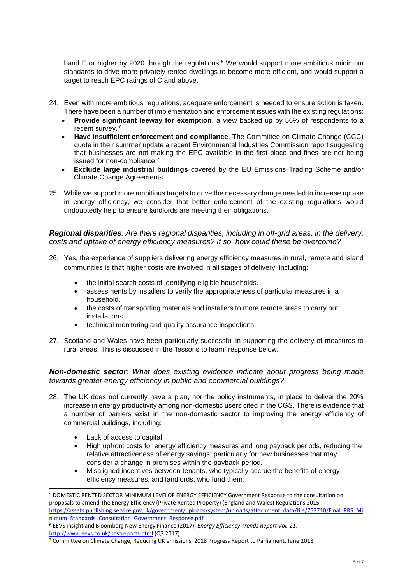band E or higher by 2020 through the regulations.<sup>5</sup> We would support more ambitious minimum standards to drive more privately rented dwellings to become more efficient, and would support a target to reach EPC ratings of C and above.

- 24. Even with more ambitious regulations, adequate enforcement is needed to ensure action is taken. There have been a number of implementation and enforcement issues with the existing regulations:
	- **Provide significant leeway for exemption**, a view backed up by 56% of respondents to a recent survey. <sup>6</sup>
	- **Have insufficient enforcement and compliance**. The Committee on Climate Change (CCC) quote in their summer update a recent Environmental Industries Commission report suggesting that businesses are not making the EPC available in the first place and fines are not being issued for non-compliance.<sup>7</sup>
	- **Exclude large industrial buildings** covered by the EU Emissions Trading Scheme and/or Climate Change Agreements.
- 25. While we support more ambitious targets to drive the necessary change needed to increase uptake in energy efficiency, we consider that better enforcement of the existing regulations would undoubtedly help to ensure landlords are meeting their obligations.

*Regional disparities: Are there regional disparities, including in off-grid areas, in the delivery, costs and uptake of energy efficiency measures? If so, how could these be overcome?*

- 26. Yes, the experience of suppliers delivering energy efficiency measures in rural, remote and island communities is that higher costs are involved in all stages of delivery, including:
	- the initial search costs of identifying eligible households.
	- assessments by installers to verify the appropriateness of particular measures in a household.
	- the costs of transporting materials and installers to more remote areas to carry out installations.
	- technical monitoring and quality assurance inspections.
- 27. Scotland and Wales have been particularly successful in supporting the delivery of measures to rural areas. This is discussed in the 'lessons to learn' response below.

*Non-domestic sector: What does existing evidence indicate about progress being made towards greater energy efficiency in public and commercial buildings?*

- 28. The UK does not currently have a plan, nor the policy instruments, in place to deliver the 20% increase in energy productivity among non-domestic users cited in the CGS. There is evidence that a number of barriers exist in the non-domestic sector to improving the energy efficiency of commercial buildings, including:
	- Lack of access to capital.

- High upfront costs for energy efficiency measures and long payback periods, reducing the relative attractiveness of energy savings, particularly for new businesses that may consider a change in premises within the payback period.
- Misaligned incentives between tenants, who typically accrue the benefits of energy efficiency measures, and landlords, who fund them.

<sup>5</sup> DOMESTIC RENTED SECTOR MINIMUM LEVELOF ENERGY EFFICIENCY Government Response to the consultation on proposals to amend The Energy Efficiency (Private Rented Property) (England and Wales) Regulations 2015, [https://assets.publishing.service.gov.uk/government/uploads/system/uploads/attachment\\_data/file/753710/Final\\_PRS\\_Mi](https://assets.publishing.service.gov.uk/government/uploads/system/uploads/attachment_data/file/753710/Final_PRS_Minimum_Standards_Consultation_Government_Response.pdf) [nimum\\_Standards\\_Consultation\\_Government\\_Response.pdf](https://assets.publishing.service.gov.uk/government/uploads/system/uploads/attachment_data/file/753710/Final_PRS_Minimum_Standards_Consultation_Government_Response.pdf)

<sup>6</sup> EEVS insight and Bloomberg New Energy Finance (2017), *Energy Efficiency Trends Report Vol. 21*, <http://www.eevs.co.uk/pastreports.html> (Q3 2017)

<sup>7</sup> Committee on Climate Change, Reducing UK emissions, 2018 Progress Report to Parliament, June 2018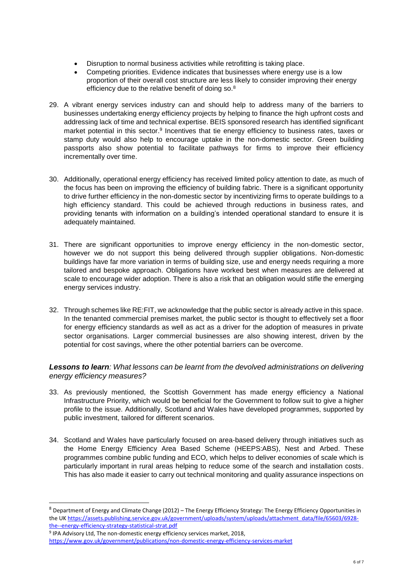- Disruption to normal business activities while retrofitting is taking place.
- Competing priorities. Evidence indicates that businesses where energy use is a low proportion of their overall cost structure are less likely to consider improving their energy efficiency due to the relative benefit of doing so.<sup>8</sup>
- 29. A vibrant energy services industry can and should help to address many of the barriers to businesses undertaking energy efficiency projects by helping to finance the high upfront costs and addressing lack of time and technical expertise. BEIS sponsored research has identified significant market potential in this sector.<sup>9</sup> Incentives that tie energy efficiency to business rates, taxes or stamp duty would also help to encourage uptake in the non-domestic sector. Green building passports also show potential to facilitate pathways for firms to improve their efficiency incrementally over time.
- 30. Additionally, operational energy efficiency has received limited policy attention to date, as much of the focus has been on improving the efficiency of building fabric. There is a significant opportunity to drive further efficiency in the non-domestic sector by incentivizing firms to operate buildings to a high efficiency standard. This could be achieved through reductions in business rates, and providing tenants with information on a building's intended operational standard to ensure it is adequately maintained.
- 31. There are significant opportunities to improve energy efficiency in the non-domestic sector, however we do not support this being delivered through supplier obligations. Non-domestic buildings have far more variation in terms of building size, use and energy needs requiring a more tailored and bespoke approach. Obligations have worked best when measures are delivered at scale to encourage wider adoption. There is also a risk that an obligation would stifle the emerging energy services industry.
- 32. Through schemes like RE:FIT, we acknowledge that the public sector is already active in this space. In the tenanted commercial premises market, the public sector is thought to effectively set a floor for energy efficiency standards as well as act as a driver for the adoption of measures in private sector organisations. Larger commercial businesses are also showing interest, driven by the potential for cost savings, where the other potential barriers can be overcome.

## *Lessons to learn: What lessons can be learnt from the devolved administrations on delivering energy efficiency measures?*

- 33. As previously mentioned, the Scottish Government has made energy efficiency a National Infrastructure Priority, which would be beneficial for the Government to follow suit to give a higher profile to the issue. Additionally, Scotland and Wales have developed programmes, supported by public investment, tailored for different scenarios.
- 34. Scotland and Wales have particularly focused on area-based delivery through initiatives such as the Home Energy Efficiency Area Based Scheme (HEEPS:ABS), Nest and Arbed. These programmes combine public funding and ECO, which helps to deliver economies of scale which is particularly important in rural areas helping to reduce some of the search and installation costs. This has also made it easier to carry out technical monitoring and quality assurance inspections on

<sup>8</sup> Department of Energy and Climate Change (2012) – The Energy Efficiency Strategy: The Energy Efficiency Opportunities in the U[K https://assets.publishing.service.gov.uk/government/uploads/system/uploads/attachment\\_data/file/65603/6928](https://assets.publishing.service.gov.uk/government/uploads/system/uploads/attachment_data/file/65603/6928-the--energy-efficiency-strategy-statistical-strat.pdf) [the--energy-efficiency-strategy-statistical-strat.pdf](https://assets.publishing.service.gov.uk/government/uploads/system/uploads/attachment_data/file/65603/6928-the--energy-efficiency-strategy-statistical-strat.pdf)

<sup>9</sup> IPA Advisory Ltd, The non-domestic energy efficiency services market, 2018,

<https://www.gov.uk/government/publications/non-domestic-energy-efficiency-services-market>